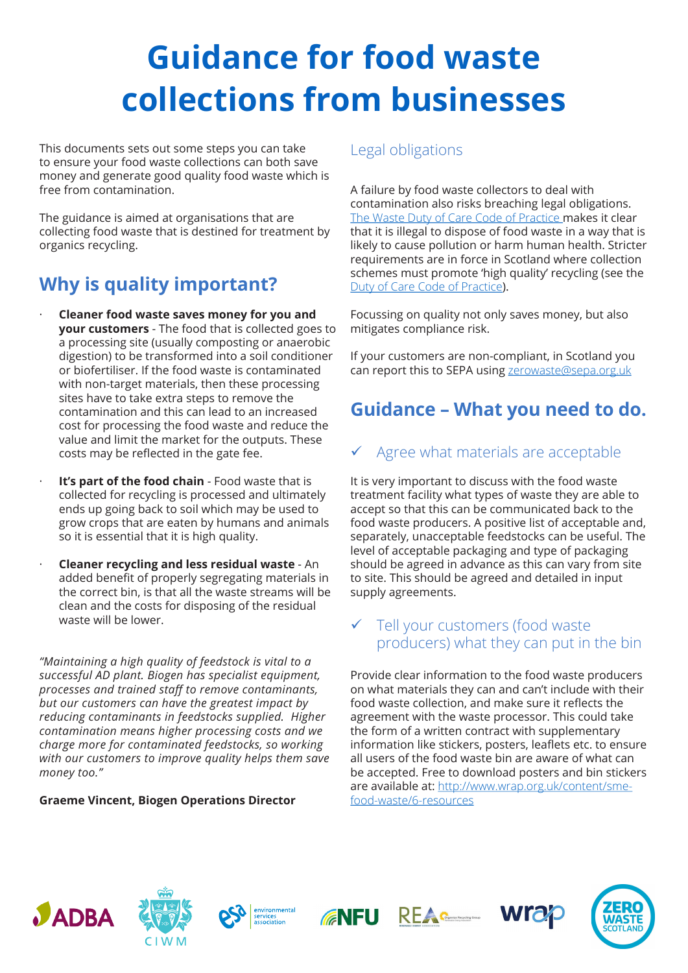# **Guidance for food waste collections from businesses**

This documents sets out some steps you can take to ensure your food waste collections can both save money and generate good quality food waste which is free from contamination.

The guidance is aimed at organisations that are collecting food waste that is destined for treatment by organics recycling.

# **Why is quality important?**

- · **Cleaner food waste saves money for you and your customers** - The food that is collected goes to a processing site (usually composting or anaerobic digestion) to be transformed into a soil conditioner or biofertiliser. If the food waste is contaminated with non-target materials, then these processing sites have to take extra steps to remove the contamination and this can lead to an increased cost for processing the food waste and reduce the value and limit the market for the outputs. These costs may be refected in the gate fee.
- **It's part of the food chain** Food waste that is collected for recycling is processed and ultimately ends up going back to soil which may be used to grow crops that are eaten by humans and animals so it is essential that it is high quality.
- · **Cleaner recycling and less residual waste** An added benefit of properly segregating materials in the correct bin, is that all the waste streams will be clean and the costs for disposing of the residual waste will be lower.

*"Maintaining a high quality of feedstock is vital to a successful AD plant. Biogen has specialist equipment, processes and trained staf to remove contaminants, but our customers can have the greatest impact by reducing contaminants in feedstocks supplied. Higher contamination means higher processing costs and we charge more for contaminated feedstocks, so working with our customers to improve quality helps them save*  money too."

#### **Graeme Vincent, Biogen Operations Director**

### Legal obligations

A failure by food waste collectors to deal with contamination also risks breaching legal obligations. The Waste Duty of Care Code of Practice makes it clear that it is illegal to dispose of food waste in a way that is likely to cause pollution or harm human health. Stricter requirements are in force in Scotland where collection schemes must promote 'high quality' recycling (see the Duty of Care Code of Practice).

Focussing on quality not only saves money, but also mitigates compliance risk.

If your customers are non-compliant, in Scotland you can report this to SEPA using zerowaste@sepa.org.uk

# **Guidance – What you need to do.**

# Agree what materials are acceptable

It is very important to discuss with the food waste treatment facility what types of waste they are able to accept so that this can be communicated back to the food waste producers. A positive list of acceptable and, separately, unacceptable feedstocks can be useful. The level of acceptable packaging and type of packaging should be agreed in advance as this can vary from site to site. This should be agreed and detailed in input supply agreements.

### $\checkmark$  Tell your customers (food waste producers) what they can put in the bin

Provide clear information to the food waste producers on what materials they can and can't include with their food waste collection, and make sure it refects the agreement with the waste processor. This could take the form of a written contract with supplementary information like stickers, posters, leaflets etc. to ensure all users of the food waste bin are aware of what can be accepted. Free to download posters and bin stickers are available at: http://www.wrap.org.uk/content/smefood-waste/6-resources